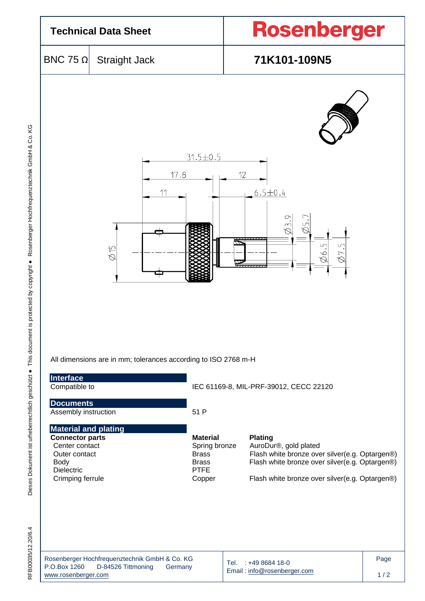

Email [: info@rosenberger.com](mailto:info@rosenberger.com)